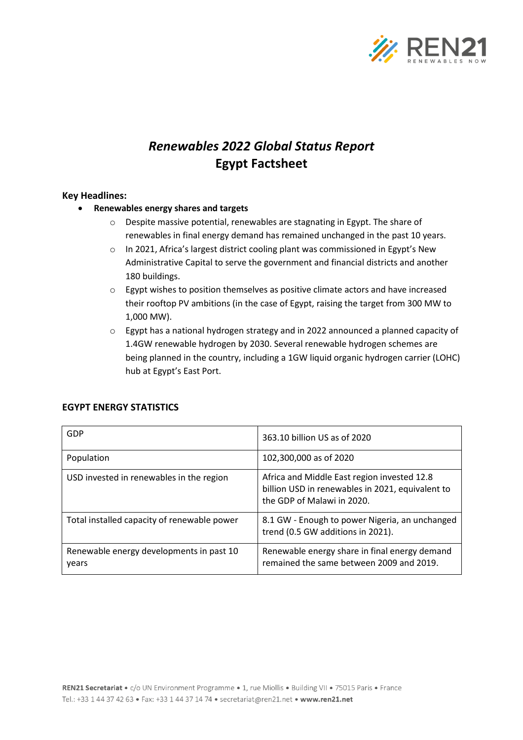

# *Renewables 2022 Global Status Report* **Egypt Factsheet**

### **Key Headlines:**

- **Renewables energy shares and targets**
	- o Despite massive potential, renewables are stagnating in Egypt. The share of renewables in final energy demand has remained unchanged in the past 10 years.
	- o In 2021, Africa's largest district cooling plant was commissioned in Egypt's New Administrative Capital to serve the government and financial districts and another 180 buildings.
	- $\circ$  Egypt wishes to position themselves as positive climate actors and have increased their rooftop PV ambitions (in the case of Egypt, raising the target from 300 MW to 1,000 MW).
	- o Egypt has a national hydrogen strategy and in 2022 announced a planned capacity of 1.4GW renewable hydrogen by 2030. Several renewable hydrogen schemes are being planned in the country, including a 1GW liquid organic hydrogen carrier (LOHC) hub at Egypt's East Port.

| GDP                                               | 363.10 billion US as of 2020                                                                                                  |
|---------------------------------------------------|-------------------------------------------------------------------------------------------------------------------------------|
| Population                                        | 102,300,000 as of 2020                                                                                                        |
| USD invested in renewables in the region          | Africa and Middle East region invested 12.8<br>billion USD in renewables in 2021, equivalent to<br>the GDP of Malawi in 2020. |
| Total installed capacity of renewable power       | 8.1 GW - Enough to power Nigeria, an unchanged<br>trend (0.5 GW additions in 2021).                                           |
| Renewable energy developments in past 10<br>years | Renewable energy share in final energy demand<br>remained the same between 2009 and 2019.                                     |

## **EGYPT ENERGY STATISTICS**